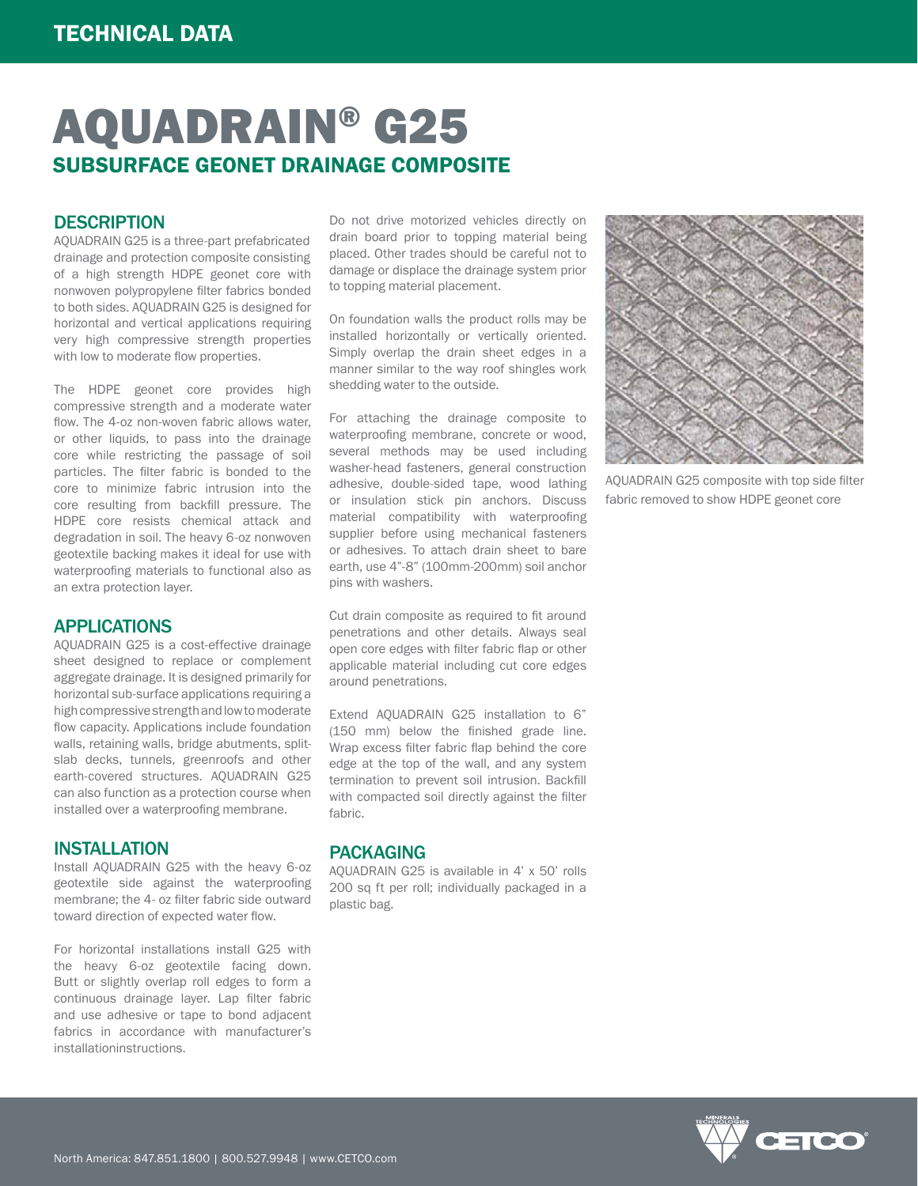# AQUADRAIN® G25 SUBSURFACE GEONET DRAINAGE COMPOSITE

### **DESCRIPTION**

AQUADRAIN G25 is a three-part prefabricated drainage and protection composite consisting of a high strength HDPE geonet core with nonwoven polypropylene filter fabrics bonded to both sides. AQUADRAIN G25 is designed for horizontal and vertical applications requiring very high compressive strength properties with low to moderate flow properties.

The HDPE geonet core provides high compressive strength and a moderate water flow. The 4-oz non-woven fabric allows water, or other liquids, to pass into the drainage core while restricting the passage of soil particles. The filter fabric is bonded to the core to minimize fabric intrusion into the core resulting from backfill pressure. The HDPE core resists chemical attack and degradation in soil. The heavy 6-oz nonwoven geotextile backing makes it ideal for use with waterproofing materials to functional also as an extra protection layer.

#### APPLICATIONS

AQUADRAIN G25 is a cost-effective drainage sheet designed to replace or complement aggregate drainage. It is designed primarily for horizontal sub-surface applications requiring a high compressive strength and low to moderate flow capacity. Applications include foundation walls, retaining walls, bridge abutments, splitslab decks, tunnels, greenroofs and other earth-covered structures. AQUADRAIN G25 can also function as a protection course when installed over a waterproofing membrane.

#### INSTALLATION

Install AQUADRAIN G25 with the heavy 6-oz geotextile side against the waterproofing membrane; the 4- oz filter fabric side outward toward direction of expected water flow.

For horizontal installations install G25 with the heavy 6-oz geotextile facing down. Butt or slightly overlap roll edges to form a continuous drainage layer. Lap filter fabric and use adhesive or tape to bond adjacent fabrics in accordance with manufacturer's installationinstructions.

Do not drive motorized vehicles directly on drain board prior to topping material being placed. Other trades should be careful not to damage or displace the drainage system prior to topping material placement.

On foundation walls the product rolls may be installed horizontally or vertically oriented. Simply overlap the drain sheet edges in a manner similar to the way roof shingles work shedding water to the outside.

For attaching the drainage composite to waterproofing membrane, concrete or wood, several methods may be used including washer-head fasteners, general construction adhesive, double-sided tape, wood lathing or insulation stick pin anchors. Discuss material compatibility with waterproofing supplier before using mechanical fasteners or adhesives. To attach drain sheet to bare earth, use 4"-8" (100mm-200mm) soil anchor pins with washers.

Cut drain composite as required to fit around penetrations and other details. Always seal open core edges with filter fabric flap or other applicable material including cut core edges around penetrations.

Extend AQUADRAIN G25 installation to 6" (150 mm) below the finished grade line. Wrap excess filter fabric flap behind the core edge at the top of the wall, and any system termination to prevent soil intrusion. Backfill with compacted soil directly against the filter fabric.

#### PACKAGING

AQUADRAIN G25 is available in 4' x 50' rolls 200 sq ft per roll; individually packaged in a plastic bag.



AQUADRAIN G25 composite with top side filter fabric removed to show HDPE geonet core